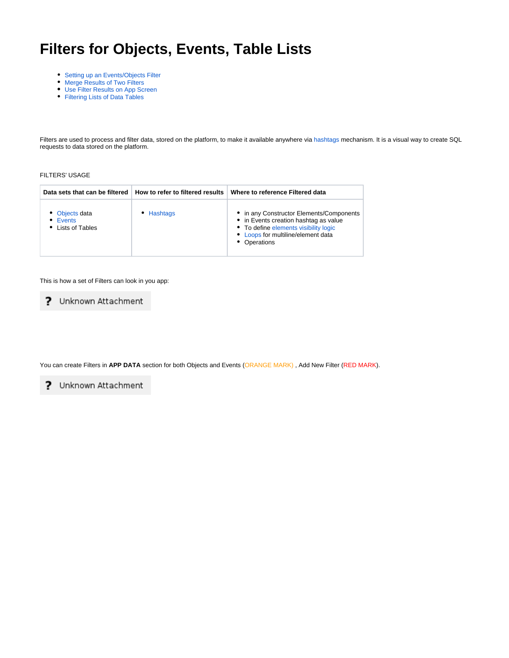# <span id="page-0-0"></span>**Filters for Objects, Events, Table Lists**

- [Setting up an Events/Objects Filter](#page-1-0)
- [Merge Results of Two Filters](#page-3-0)
- [Use Filter Results on App Screen](#page-5-0)
- [Filtering Lists of Data Tables](#page-7-0)

Filters are used to process and filter data, stored on the platform, to make it available anywhere via [hashtags](https://docs.mobsted.com/knowledge-base/references/intro-placeholder/hashtags) mechanism. It is a visual way to create SQL requests to data stored on the platform.

#### FILTERS' USAGE

|                                                 | Data sets that can be filtered   How to refer to filtered results | Where to reference Filtered data                                                                                                                                                 |
|-------------------------------------------------|-------------------------------------------------------------------|----------------------------------------------------------------------------------------------------------------------------------------------------------------------------------|
| • Objects data<br>• Events<br>• Lists of Tables | • Hashtags                                                        | • in any Constructor Elements/Components<br>• in Events creation hashtag as value<br>• To define elements visibility logic<br>• Loops for multiline/element data<br>• Operations |

This is how a set of Filters can look in you app:

? Unknown Attachment

You can create Filters in **APP DATA** section for both Objects and Events (ORANGE MARK) , Add New Filter (RED MARK).

? Unknown Attachment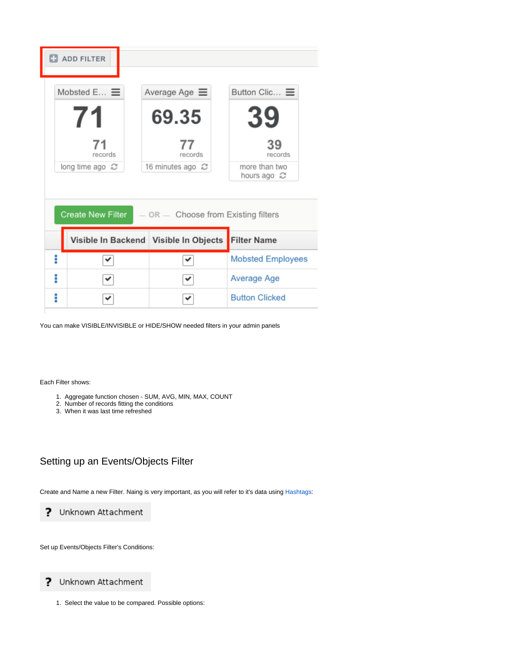|   | <b>ET ADD FILTER</b>             |                                         |                                                           |
|---|----------------------------------|-----------------------------------------|-----------------------------------------------------------|
|   | Mobsted E $\equiv$<br>71         | Average Age $\equiv$<br>69.35           | Button Clic $\equiv$<br>39                                |
|   | 71<br>records<br>long time ago 2 | 77<br>records<br>16 minutes ago 心       | 39<br>records<br>more than two<br>hours ago $\varnothing$ |
|   | <b>Create New Filter</b>         | $-$ OR $-$ Choose from Existing filters |                                                           |
|   |                                  | Visible In Backend Visible In Objects   | <b>Filter Name</b>                                        |
| i | ✓                                | ✔                                       | <b>Mobsted Employees</b>                                  |
| i |                                  | ✓                                       | Average Age                                               |
| i |                                  | ✔                                       | <b>Button Clicked</b>                                     |

You can make VISIBLE/INVISIBLE or HIDE/SHOW needed filters in your admin panels

Each Filter shows:

- 1. Aggregate function chosen SUM, AVG, MIN, MAX, COUNT
- 2. Number of records fitting the conditions
- 3. When it was last time refreshed

### <span id="page-1-0"></span>Setting up an Events/Objects Filter

Create and Name a new Filter. Naing is very important, as you will refer to it's data using [Hashtags](https://docs.mobsted.com/display/KB/Data+references+in+app):

? Unknown Attachment

Set up Events/Objects Filter's Conditions:

? Unknown Attachment

1. Select the value to be compared. Possible options: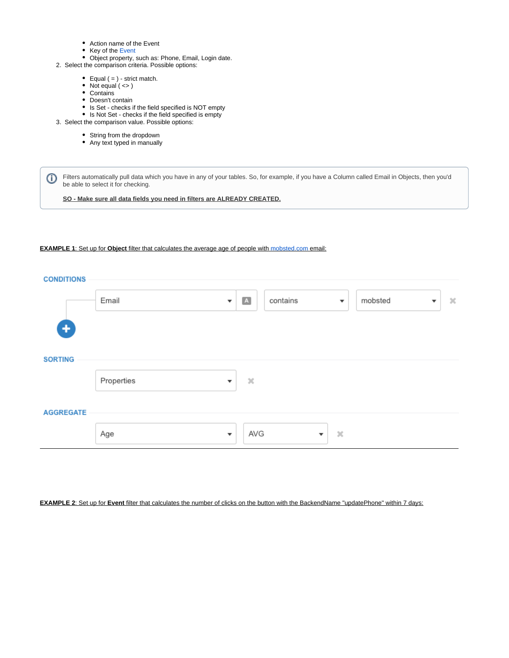- Action name of the Event
- Key of the [Event](https://kb.mobsted.com/article/9cncrxycvp-events)
- Object property, such as: Phone, Email, Login date.
- 2. Select the comparison criteria. Possible options:
	- Equal  $( = )$  strict match.
	- Not equal  $($  <>  $)$
	- Contains
	- Doesn't contain
	- Is Set checks if the field specified is NOT empty
	- Is Not Set checks if the field specified is empty
- 3. Select the comparison value. Possible options:
	- String from the dropdown
		- Any text typed in manually

Filters automatically pull data which you have in any of your tables. So, for example, if you have a Column called Email in Objects, then you'd ⊕ be able to select it for checking.

**SO - Make sure all data fields you need in filters are ALREADY CREATED.**

#### **EXAMPLE 1**: Set up for **Object** filter that calculates the average age of people with [mobsted.com](http://mobsted.com) email:



#### **EXAMPLE 2**: Set up for **Event** filter that calculates the number of clicks on the button with the BackendName "updatePhone" within 7 days: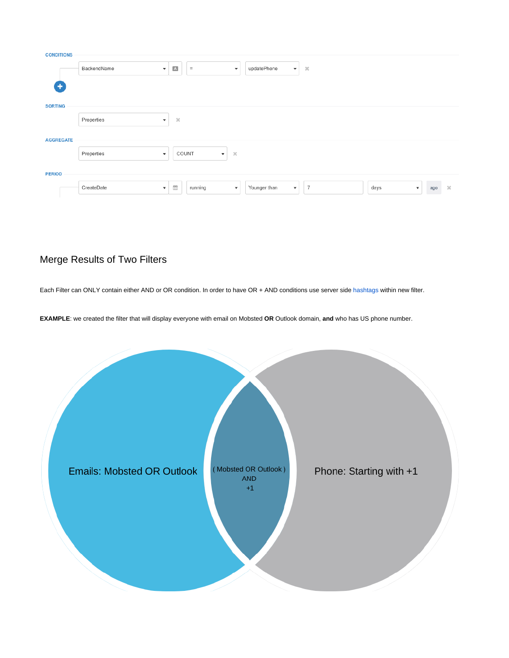| <b>CONDITIONS</b> |             |                                                                                          |                                         |          |                                          |          |
|-------------------|-------------|------------------------------------------------------------------------------------------|-----------------------------------------|----------|------------------------------------------|----------|
| ٠                 | BackendName | $\boxed{\text{A}}$<br>$\equiv$<br>$\boldsymbol{\mathrm{v}}$<br>$\boldsymbol{\mathrm{v}}$ | updatePhone<br>$\mathbf{v}$             | $\alpha$ |                                          |          |
| <b>SORTING</b>    |             |                                                                                          |                                         |          |                                          |          |
|                   | Properties  | $\mathcal{H}$<br>$\overline{\mathbf{v}}$                                                 |                                         |          |                                          |          |
| <b>AGGREGATE</b>  |             |                                                                                          |                                         |          |                                          |          |
|                   | Properties  | COUNT<br>$\chi$<br>$\mathbf{v}$<br>$\overline{\mathbf v}$                                |                                         |          |                                          |          |
| <b>PERIOD</b>     |             |                                                                                          |                                         |          |                                          |          |
|                   | CreateDate  | ₩<br>running<br>$\boldsymbol{\mathrm{v}}$<br>$\mathbf{v}$                                | Younger than<br>$\overline{\mathbf{v}}$ | 7        | days<br>ago<br>$\boldsymbol{\mathrm{v}}$ | $\infty$ |

# <span id="page-3-0"></span>Merge Results of Two Filters

Each Filter can ONLY contain either AND or OR condition. In order to have OR + AND conditions use server side [hashtags](https://docs.mobsted.com/display/KB/Data+references+in+app) within new filter.

**EXAMPLE**: we created the filter that will display everyone with email on Mobsted **OR** Outlook domain, **and** who has US phone number.

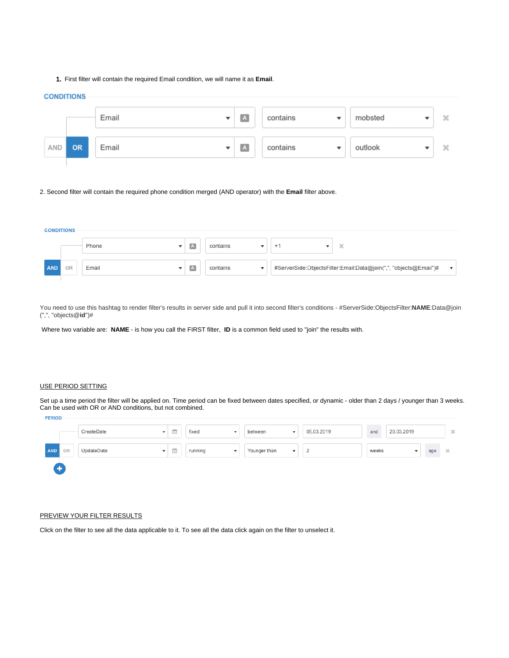1. First filter will contain the required Email condition, we will name it as **Email**.

#### **CONDITIONS**

|     |           | Email<br>▼ | $\overline{A}$       | contains<br>v | mobsted | × |
|-----|-----------|------------|----------------------|---------------|---------|---|
| AND | <b>OR</b> | Email<br>▼ | $\boxed{\mathbf{A}}$ | contains      | outlook | × |

2. Second filter will contain the required phone condition merged (AND operator) with the **Email** filter above.

| <b>CONDITIONS</b> |    |       |   |          |                                                                                              |
|-------------------|----|-------|---|----------|----------------------------------------------------------------------------------------------|
|                   |    |       |   |          |                                                                                              |
|                   |    | Phone | A | contains | $\alpha$                                                                                     |
|                   |    |       |   |          |                                                                                              |
| AND               | OR | Email | A | contains | #ServerSide:ObjectsFilter:Email:Data@join(",", "objects@Email")#<br>$\overline{\phantom{a}}$ |
|                   |    |       |   |          |                                                                                              |

You need to use this hashtag to render filter's results in server side and pull it into second filter's conditions - #ServerSide:ObjectsFilter:**NAME**:Data@join (",", "objects@**id**")#

Where two variable are: **NAME** - is how you call the FIRST filter, **ID** is a common field used to "join" the results with.

#### USE PERIOD SETTING

Set up a time period the filter will be applied on. Time period can be fixed between dates specified, or dynamic - older than 2 days / younger than 3 weeks. Can be used with OR or AND conditions, but not combined.

| <b>FERIOU</b> |    |            |              |   |                                   |                                          |            |       |            |     |                 |
|---------------|----|------------|--------------|---|-----------------------------------|------------------------------------------|------------|-------|------------|-----|-----------------|
|               |    | CreateDate | $\mathbf{v}$ | 曲 | fixed<br>$\overline{\phantom{a}}$ | between<br>$\mathbf{v}$                  | 05.03.2019 | and   | 20.03.2019 |     | $\mathcal{M}^-$ |
| AND           | OR | UpdateDate | $\mathbf{v}$ | 曲 | running<br>$\overline{\mathbf v}$ | Younger than<br>$\overline{\phantom{a}}$ |            | weeks |            | ago | ×               |
|               |    |            |              |   |                                   |                                          |            |       |            |     |                 |

#### PREVIEW YOUR FILTER RESULTS

Click on the filter to see all the data applicable to it. To see all the data click again on the filter to unselect it.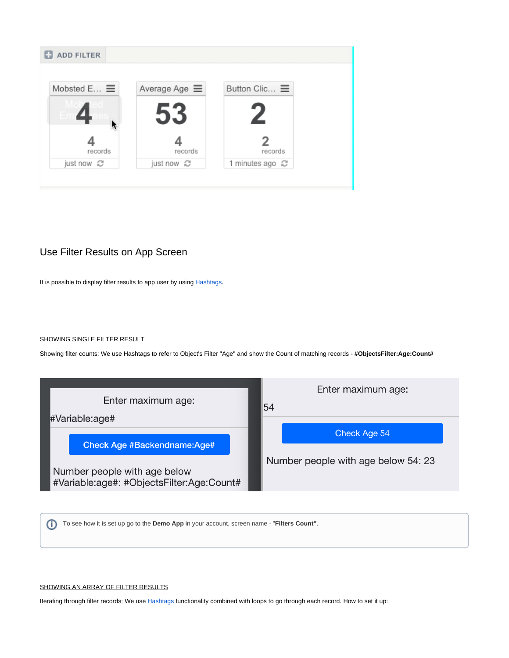

### <span id="page-5-0"></span>Use Filter Results on App Screen

It is possible to display filter results to app user by using [Hashtags.](https://docs.mobsted.com/display/KB/Data+references+in+app)

#### SHOWING SINGLE FILTER RESULT

Showing filter counts: We use Hashtags to refer to Object's Filter "Age" and show the Count of matching records - **#ObjectsFilter:Age:Count#**



⊕ To see how it is set up go to the **Demo App** in your account, screen name - "**Filters Count"**.

#### SHOWING AN ARRAY OF FILTER RESULTS

Iterating through filter records: We use [Hashtags](https://kb.mobsted.com/article/9v4k7sfkq1-hastags) functionality combined with loops to go through each record. How to set it up: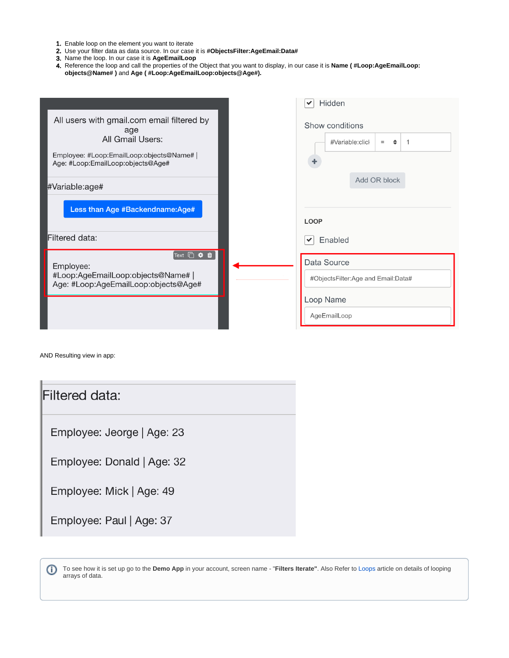- 1. Enable loop on the element you want to iterate
- 2. Use your filter data as data source. In our case it is **#ObjectsFilter:AgeEmail:Data#**
- 3. Name the loop. In our case it is **AgeEmailLoop**
- 4. Reference the loop and call the properties of the Object that you want to display, in our case it is **Name ( #Loop:AgeEmailLoop: objects@Name# )** and **Age ( #Loop:AgeEmailLoop:objects@Age#).**

|                                                                                                                                                         | Hidden<br>$\checkmark$                                                         |
|---------------------------------------------------------------------------------------------------------------------------------------------------------|--------------------------------------------------------------------------------|
| All users with gmail.com email filtered by<br>age<br>All Gmail Users:<br>Employee: #Loop:EmailLoop:objects@Name#  <br>Age: #Loop:EmailLoop:objects@Age# | Show conditions<br>#Variable:clicl<br>٠<br>$=$                                 |
| #Variable:age#                                                                                                                                          | Add OR block                                                                   |
| Less than Age #Backendname:Age#                                                                                                                         | <b>LOOP</b>                                                                    |
| Filtered data:                                                                                                                                          | Enabled<br>$\checkmark$                                                        |
| Text <sup>1</sup> \$ 0<br>Employee:<br>#Loop:AgeEmailLoop:objects@Name#  <br>Age: #Loop:AgeEmailLoop:objects@Age#                                       | Data Source<br>#ObjectsFilter:Age and Email:Data#<br>Loop Name<br>AgeEmailLoop |

AND Resulting view in app:

| Filtered data:             |
|----------------------------|
| Employee: Jeorge   Age: 23 |
| Employee: Donald   Age: 32 |
| Employee: Mick   Age: 49   |
| Employee: Paul   Age: 37   |

To see how it is set up go to the **Demo App** in your account, screen name - "**Filters Iterate"**. Also Refer to [Loops](https://docs.mobsted.com/pages/viewpage.action?pageId=1704091) article on details of looping ⊙ arrays of data.